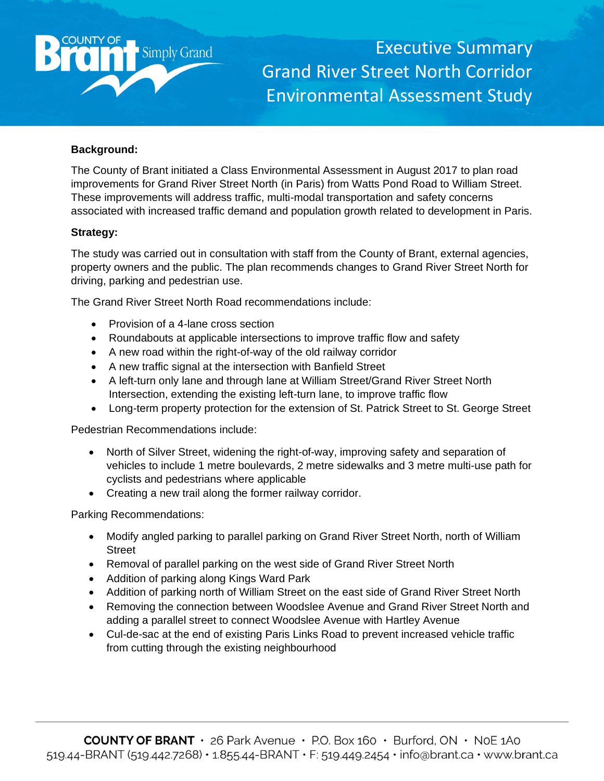

Executive Summary Grand River Street North Corridor Environmental Assessment Study

## **Background:**

The County of Brant initiated a Class Environmental Assessment in August 2017 to plan road improvements for Grand River Street North (in Paris) from Watts Pond Road to William Street. These improvements will address traffic, multi-modal transportation and safety concerns associated with increased traffic demand and population growth related to development in Paris.

## **Strategy:**

The study was carried out in consultation with staff from the County of Brant, external agencies, property owners and the public. The plan recommends changes to Grand River Street North for driving, parking and pedestrian use.

The Grand River Street North Road recommendations include:

- Provision of a 4-lane cross section
- Roundabouts at applicable intersections to improve traffic flow and safety
- A new road within the right-of-way of the old railway corridor
- A new traffic signal at the intersection with Banfield Street
- A left-turn only lane and through lane at William Street/Grand River Street North Intersection, extending the existing left-turn lane, to improve traffic flow
- Long-term property protection for the extension of St. Patrick Street to St. George Street

Pedestrian Recommendations include:

- North of Silver Street, widening the right-of-way, improving safety and separation of vehicles to include 1 metre boulevards, 2 metre sidewalks and 3 metre multi-use path for cyclists and pedestrians where applicable
- Creating a new trail along the former railway corridor.

Parking Recommendations:

- Modify angled parking to parallel parking on Grand River Street North, north of William **Street**
- Removal of parallel parking on the west side of Grand River Street North
- Addition of parking along Kings Ward Park
- Addition of parking north of William Street on the east side of Grand River Street North
- Removing the connection between Woodslee Avenue and Grand River Street North and adding a parallel street to connect Woodslee Avenue with Hartley Avenue
- Cul-de-sac at the end of existing Paris Links Road to prevent increased vehicle traffic from cutting through the existing neighbourhood